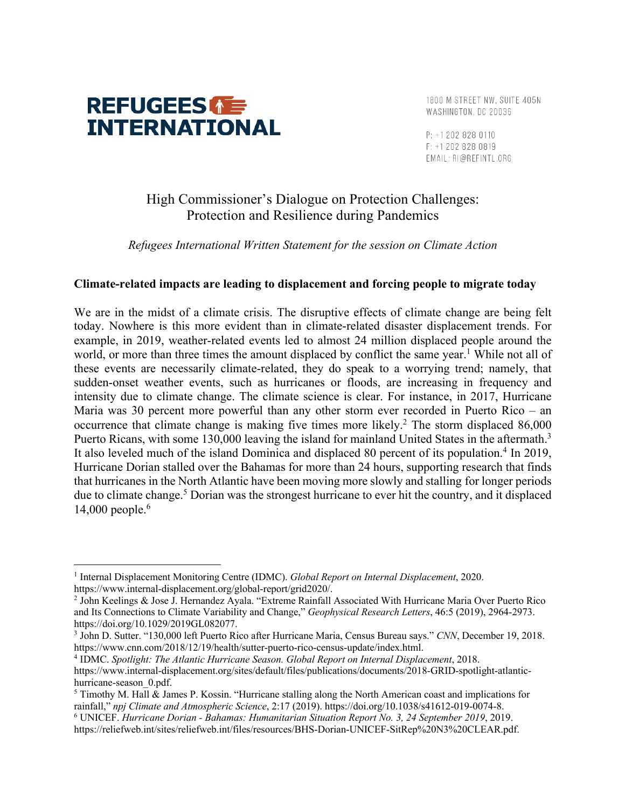

1800 M STREET NW. SUITE 405N WASHINGTON, DC 20036

P: +1 202 828 0110 F: +1 202 828 0819 EMAIL: RI@REFINTL.ORG

## High Commissioner's Dialogue on Protection Challenges: Protection and Resilience during Pandemics

*Refugees International Written Statement for the session on Climate Action*

## **Climate-related impacts are leading to displacement and forcing people to migrate today**

We are in the midst of a climate crisis. The disruptive effects of climate change are being felt today. Nowhere is this more evident than in climate-related disaster displacement trends. For example, in 2019, weather-related events led to almost 24 million displaced people around the world, or more than three times the amount displaced by conflict the same year.<sup>1</sup> While not all of these events are necessarily climate-related, they do speak to a worrying trend; namely, that sudden-onset weather events, such as hurricanes or floods, are increasing in frequency and intensity due to climate change. The climate science is clear. For instance, in 2017, Hurricane Maria was 30 percent more powerful than any other storm ever recorded in Puerto Rico – an occurrence that climate change is making five times more likely.<sup>2</sup> The storm displaced 86,000 Puerto Ricans, with some 130,000 leaving the island for mainland United States in the aftermath.<sup>3</sup> It also leveled much of the island Dominica and displaced 80 percent of its population.<sup>4</sup> In 2019, Hurricane Dorian stalled over the Bahamas for more than 24 hours, supporting research that finds that hurricanes in the North Atlantic have been moving more slowly and stalling for longer periods due to climate change.<sup>5</sup> Dorian was the strongest hurricane to ever hit the country, and it displaced 14,000 people.6

<sup>1</sup> Internal Displacement Monitoring Centre (IDMC). *Global Report on Internal Displacement*, 2020. https://www.internal-displacement.org/global-report/grid2020/.

<sup>2</sup> John Keelings & Jose J. Hernandez Ayala. "Extreme Rainfall Associated With Hurricane Maria Over Puerto Rico and Its Connections to Climate Variability and Change," *Geophysical Research Letters*, 46:5 (2019), 2964-2973. https://doi.org/10.1029/2019GL082077.

<sup>3</sup> John D. Sutter. "130,000 left Puerto Rico after Hurricane Maria, Census Bureau says." *CNN*, December 19, 2018. https://www.cnn.com/2018/12/19/health/sutter-puerto-rico-census-update/index.html.

<sup>4</sup> IDMC. *Spotlight: The Atlantic Hurricane Season. Global Report on Internal Displacement*, 2018. https://www.internal-displacement.org/sites/default/files/publications/documents/2018-GRID-spotlight-atlantichurricane-season\_0.pdf.

<sup>5</sup> Timothy M. Hall & James P. Kossin. "Hurricane stalling along the North American coast and implications for rainfall," *npj Climate and Atmospheric Science*, 2:17 (2019). https://doi.org/10.1038/s41612-019-0074-8.

<sup>6</sup> UNICEF. *Hurricane Dorian - Bahamas: Humanitarian Situation Report No. 3, 24 September 2019*, 2019. https://reliefweb.int/sites/reliefweb.int/files/resources/BHS-Dorian-UNICEF-SitRep%20N3%20CLEAR.pdf.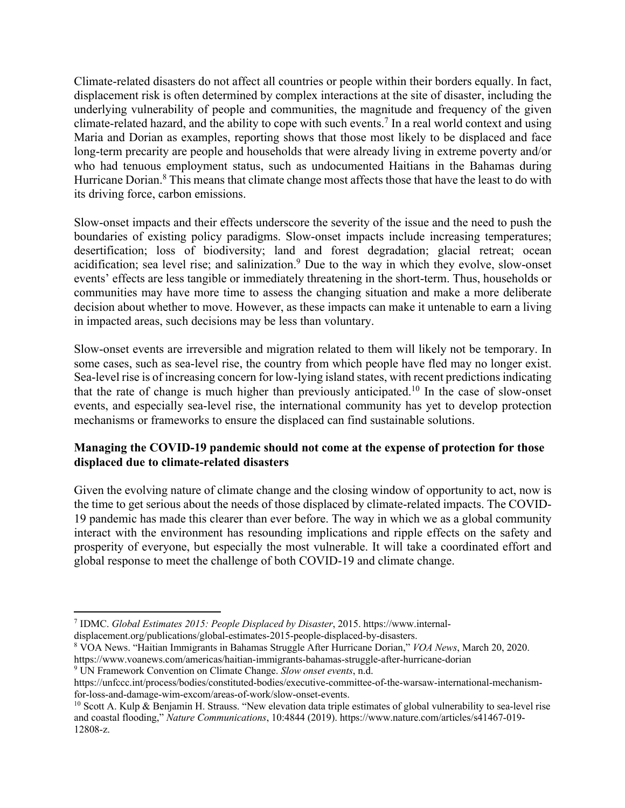Climate-related disasters do not affect all countries or people within their borders equally. In fact, displacement risk is often determined by complex interactions at the site of disaster, including the underlying vulnerability of people and communities, the magnitude and frequency of the given climate-related hazard, and the ability to cope with such events.<sup>7</sup> In a real world context and using Maria and Dorian as examples, reporting shows that those most likely to be displaced and face long-term precarity are people and households that were already living in extreme poverty and/or who had tenuous employment status, such as undocumented Haitians in the Bahamas during Hurricane Dorian.<sup>8</sup> This means that climate change most affects those that have the least to do with its driving force, carbon emissions.

Slow-onset impacts and their effects underscore the severity of the issue and the need to push the boundaries of existing policy paradigms. Slow-onset impacts include increasing temperatures; desertification; loss of biodiversity; land and forest degradation; glacial retreat; ocean acidification; sea level rise; and salinization.<sup>9</sup> Due to the way in which they evolve, slow-onset events' effects are less tangible or immediately threatening in the short-term. Thus, households or communities may have more time to assess the changing situation and make a more deliberate decision about whether to move. However, as these impacts can make it untenable to earn a living in impacted areas, such decisions may be less than voluntary.

Slow-onset events are irreversible and migration related to them will likely not be temporary. In some cases, such as sea-level rise, the country from which people have fled may no longer exist. Sea-level rise is of increasing concern for low-lying island states, with recent predictions indicating that the rate of change is much higher than previously anticipated.<sup>10</sup> In the case of slow-onset events, and especially sea-level rise, the international community has yet to develop protection mechanisms or frameworks to ensure the displaced can find sustainable solutions.

## **Managing the COVID-19 pandemic should not come at the expense of protection for those displaced due to climate-related disasters**

Given the evolving nature of climate change and the closing window of opportunity to act, now is the time to get serious about the needs of those displaced by climate-related impacts. The COVID-19 pandemic has made this clearer than ever before. The way in which we as a global community interact with the environment has resounding implications and ripple effects on the safety and prosperity of everyone, but especially the most vulnerable. It will take a coordinated effort and global response to meet the challenge of both COVID-19 and climate change.

<sup>7</sup> IDMC. *Global Estimates 2015: People Displaced by Disaster*, 2015. https://www.internal-

displacement.org/publications/global-estimates-2015-people-displaced-by-disasters.

<sup>8</sup> VOA News. "Haitian Immigrants in Bahamas Struggle After Hurricane Dorian," *VOA News*, March 20, 2020.

https://www.voanews.com/americas/haitian-immigrants-bahamas-struggle-after-hurricane-dorian

<sup>9</sup> UN Framework Convention on Climate Change. *Slow onset events*, n.d.

https://unfccc.int/process/bodies/constituted-bodies/executive-committee-of-the-warsaw-international-mechanismfor-loss-and-damage-wim-excom/areas-of-work/slow-onset-events.

 $10$  Scott A. Kulp & Benjamin H. Strauss. "New elevation data triple estimates of global vulnerability to sea-level rise and coastal flooding," *Nature Communications*, 10:4844 (2019). https://www.nature.com/articles/s41467-019- 12808-z.